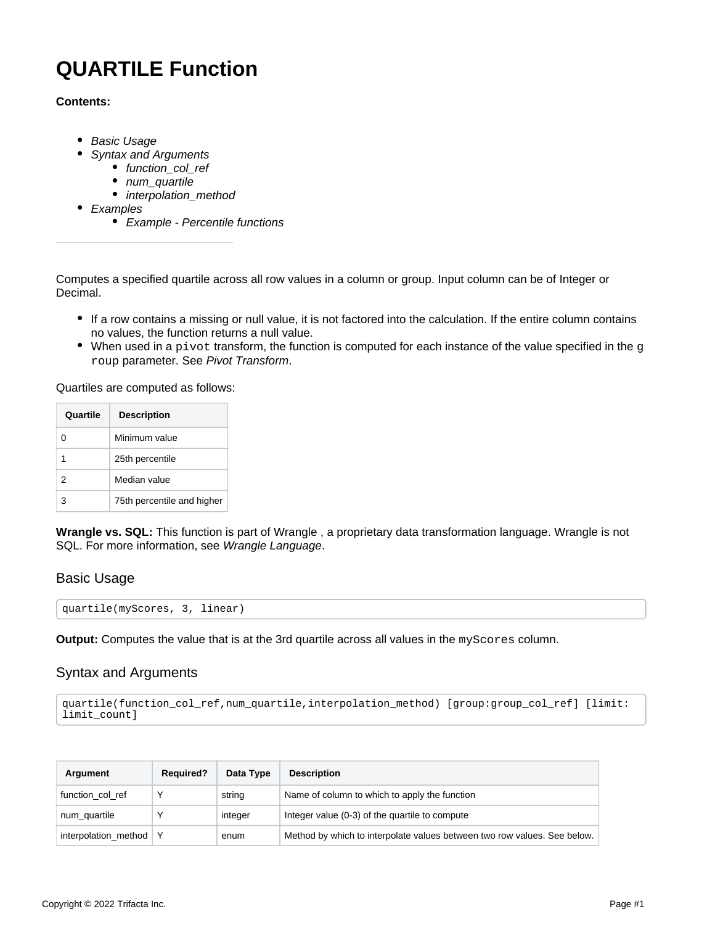# <span id="page-0-2"></span>**QUARTILE Function**

## **Contents:**

- [Basic Usage](#page-0-0)
- [Syntax and Arguments](#page-0-1)
	- [function\\_col\\_ref](#page-1-0)
	- num quartile
	- [interpolation\\_method](#page-1-2)
- [Examples](#page-1-3)
	- [Example Percentile functions](#page-2-0)

Computes a specified quartile across all row values in a column or group. Input column can be of Integer or Decimal.

- If a row contains a missing or null value, it is not factored into the calculation. If the entire column contains no values, the function returns a null value.
- $\bullet$  When used in a pivot transform, the function is computed for each instance of the value specified in the g roup parameter. See [Pivot Transform](https://docs.trifacta.com/display/r087/Pivot+Transform).

Quartiles are computed as follows:

| Quartile | <b>Description</b>         |
|----------|----------------------------|
|          | Minimum value              |
|          | 25th percentile            |
| 2        | Median value               |
| з        | 75th percentile and higher |

**Wrangle vs. SQL:** This function is part of Wrangle , a proprietary data transformation language. Wrangle is not SQL. For more information, see [Wrangle Language](https://docs.trifacta.com/display/r087/Wrangle+Language).

## <span id="page-0-0"></span>Basic Usage

quartile(myScores, 3, linear)

**Output:** Computes the value that is at the 3rd quartile across all values in the myScores column.

# <span id="page-0-1"></span>Syntax and Arguments

```
quartile(function_col_ref,num_quartile,interpolation_method) [group:group_col_ref] [limit:
limit_count]
```

| Argument                 | <b>Required?</b> | Data Type | <b>Description</b>                                                       |
|--------------------------|------------------|-----------|--------------------------------------------------------------------------|
| function col ref         |                  | string    | Name of column to which to apply the function                            |
| num_quartile             |                  | integer   | Integer value (0-3) of the quartile to compute                           |
| interpolation method   Y |                  | enum      | Method by which to interpolate values between two row values. See below. |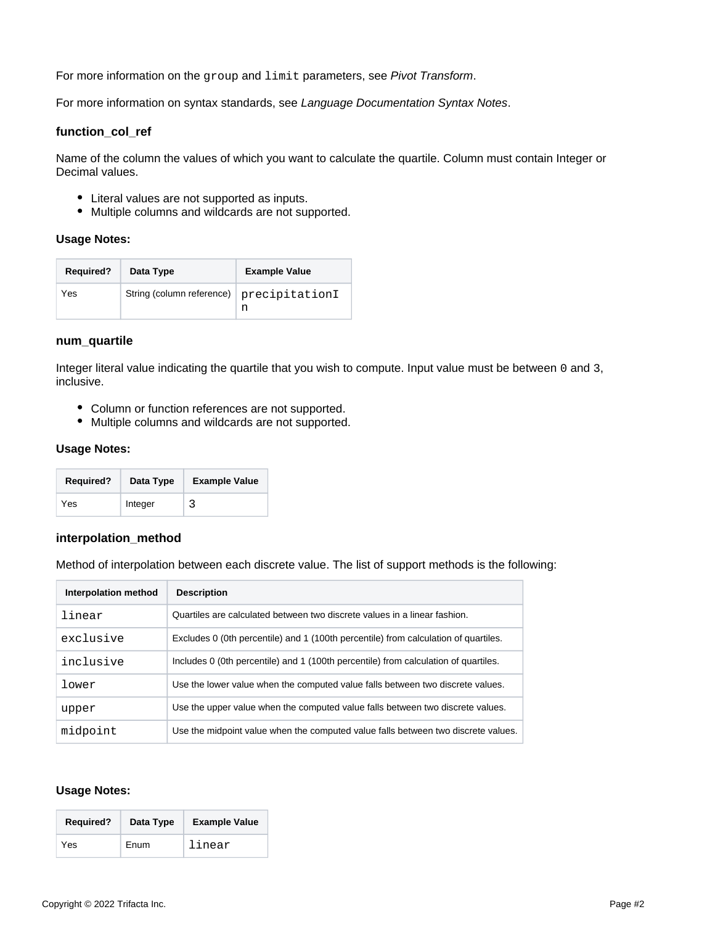For more information on the group and limit parameters, see [Pivot Transform](https://docs.trifacta.com/display/r087/Pivot+Transform).

For more information on syntax standards, see [Language Documentation Syntax Notes](https://docs.trifacta.com/display/r087/Language+Documentation+Syntax+Notes).

#### <span id="page-1-0"></span>**function\_col\_ref**

Name of the column the values of which you want to calculate the quartile. Column must contain Integer or Decimal values.

- Literal values are not supported as inputs.
- Multiple columns and wildcards are not supported.

#### **Usage Notes:**

| <b>Required?</b> | Data Type                                | <b>Example Value</b> |
|------------------|------------------------------------------|----------------------|
| Yes              | String (column reference) precipitationI | n                    |

#### <span id="page-1-1"></span>**num\_quartile**

Integer literal value indicating the quartile that you wish to compute. Input value must be between 0 and 3, inclusive.

- Column or function references are not supported.
- Multiple columns and wildcards are not supported.

## **Usage Notes:**

| <b>Required?</b> | Data Type | <b>Example Value</b> |
|------------------|-----------|----------------------|
| Yes              | Integer   |                      |

### <span id="page-1-2"></span>**interpolation\_method**

Method of interpolation between each discrete value. The list of support methods is the following:

| Interpolation method | <b>Description</b>                                                                  |
|----------------------|-------------------------------------------------------------------------------------|
| linear               | Quartiles are calculated between two discrete values in a linear fashion.           |
| exclusive            | Excludes 0 (0th percentile) and 1 (100th percentile) from calculation of quartiles. |
| inclusive            | Includes 0 (0th percentile) and 1 (100th percentile) from calculation of quartiles. |
| lower                | Use the lower value when the computed value falls between two discrete values.      |
| upper                | Use the upper value when the computed value falls between two discrete values.      |
| midpoint             | Use the midpoint value when the computed value falls between two discrete values.   |

# **Usage Notes:**

<span id="page-1-3"></span>

| <b>Required?</b> | Data Type | <b>Example Value</b> |
|------------------|-----------|----------------------|
| Yes              | Enum      | linear               |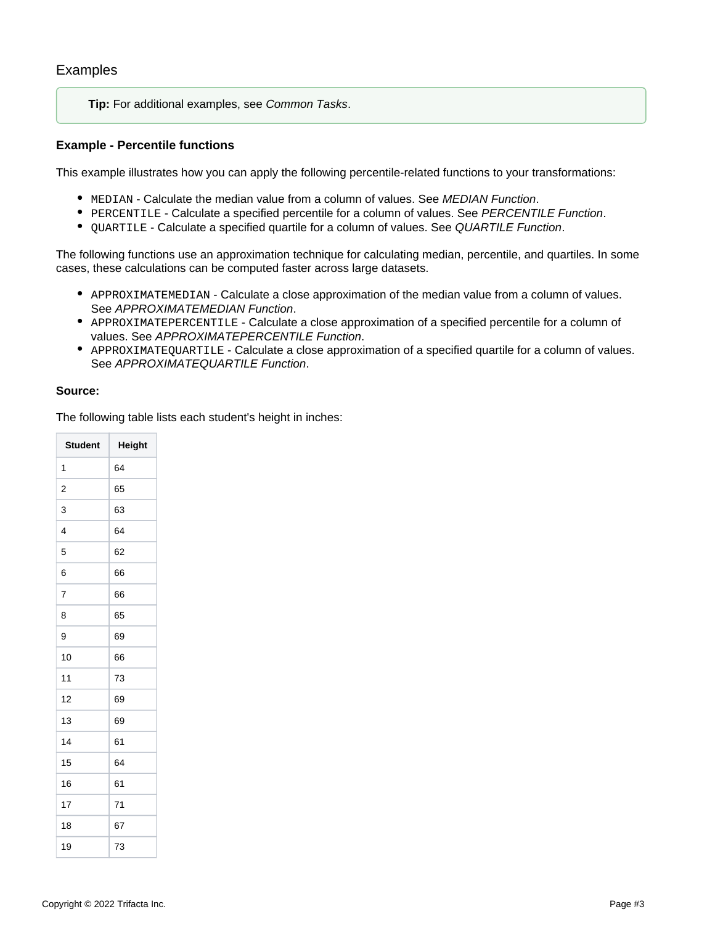**Tip:** For additional examples, see [Common Tasks](https://docs.trifacta.com/display/r087/Common+Tasks).

## <span id="page-2-0"></span>**Example - Percentile functions**

This example illustrates how you can apply the following percentile-related functions to your transformations:

- $\bullet$  MEDIAN Calculate the median value from a column of values. See [MEDIAN Function](https://docs.trifacta.com/display/r087/MEDIAN+Function).
- **PERCENTILE Calculate a specified percentile for a column of values. See [PERCENTILE Function](https://docs.trifacta.com/display/r087/PERCENTILE+Function).**
- $\bullet$  QUARTILE Calculate a specified quartile for a column of values. See [QUARTILE Function](#page-0-2).

The following functions use an approximation technique for calculating median, percentile, and quartiles. In some cases, these calculations can be computed faster across large datasets.

- APPROXIMATEMEDIAN Calculate a close approximation of the median value from a column of values. See [APPROXIMATEMEDIAN Function](https://docs.trifacta.com/display/r087/APPROXIMATEMEDIAN+Function).
- APPROXIMATEPERCENTILE Calculate a close approximation of a specified percentile for a column of values. See [APPROXIMATEPERCENTILE Function](https://docs.trifacta.com/display/r087/APPROXIMATEPERCENTILE+Function).
- APPROXIMATEQUARTILE Calculate a close approximation of a specified quartile for a column of values. See [APPROXIMATEQUARTILE Function](https://docs.trifacta.com/display/r087/APPROXIMATEQUARTILE+Function).

### **Source:**

The following table lists each student's height in inches:

| <b>Student</b> | Height |
|----------------|--------|
| 1              | 64     |
| 2              | 65     |
| 3              | 63     |
| 4              | 64     |
| 5              | 62     |
| 6              | 66     |
| $\overline{7}$ | 66     |
| 8              | 65     |
| 9              | 69     |
| 10             | 66     |
| 11             | 73     |
| 12             | 69     |
| 13             | 69     |
| 14             | 61     |
| 15             | 64     |
| 16             | 61     |
| 17             | 71     |
| 18             | 67     |
| 19             | 73     |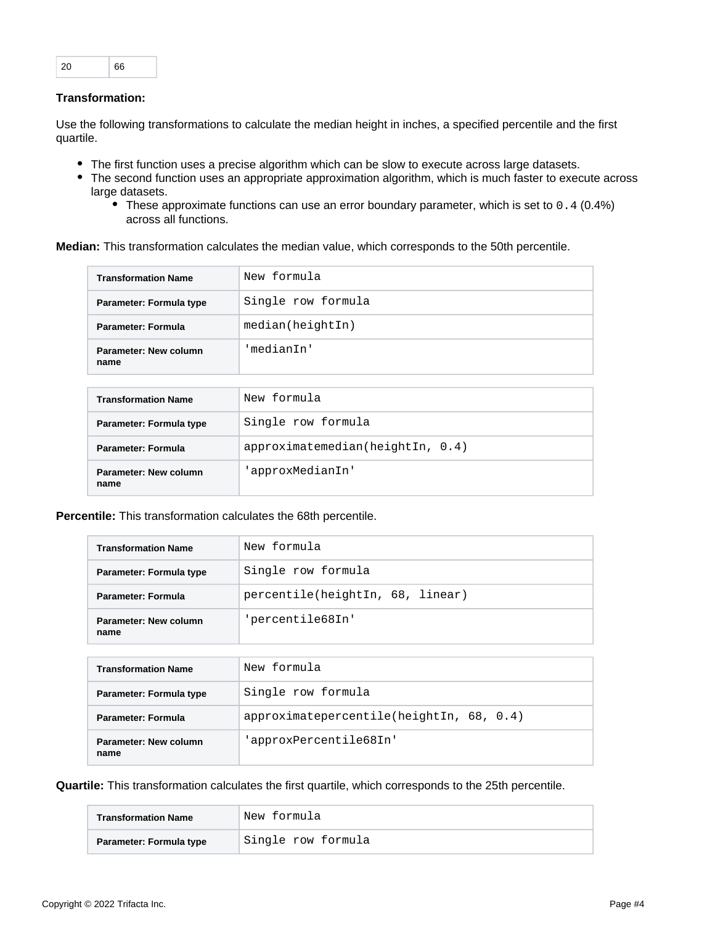| 20 | 66 |
|----|----|
|----|----|

# **Transformation:**

Use the following transformations to calculate the median height in inches, a specified percentile and the first quartile.

- The first function uses a precise algorithm which can be slow to execute across large datasets.
- The second function uses an appropriate approximation algorithm, which is much faster to execute across large datasets.
	- These approximate functions can use an error boundary parameter, which is set to 0.4 (0.4%) across all functions.

**Median:** This transformation calculates the median value, which corresponds to the 50th percentile.

| <b>Transformation Name</b>    | New formula        |
|-------------------------------|--------------------|
| Parameter: Formula type       | Single row formula |
| Parameter: Formula            | median(heightIn)   |
| Parameter: New column<br>name | 'medianIn'         |

| <b>Transformation Name</b>    | New formula                  |
|-------------------------------|------------------------------|
| Parameter: Formula type       | Single row formula           |
| Parameter: Formula            | approximation(heightIn, 0.4) |
| Parameter: New column<br>name | 'approxMedianIn'             |

**Percentile:** This transformation calculates the 68th percentile.

| <b>Transformation Name</b>    | New formula                      |
|-------------------------------|----------------------------------|
| Parameter: Formula type       | Single row formula               |
| <b>Parameter: Formula</b>     | percentile(heightIn, 68, linear) |
| Parameter: New column<br>name | 'percentile68In'                 |

| <b>Transformation Name</b>    | New formula                                 |
|-------------------------------|---------------------------------------------|
| Parameter: Formula type       | Single row formula                          |
| Parameter: Formula            | $approximate percentile(heightIn, 68, 0.4)$ |
| Parameter: New column<br>name | 'approxPercentile68In'                      |

**Quartile:** This transformation calculates the first quartile, which corresponds to the 25th percentile.

| <b>Transformation Name</b> | New formula        |
|----------------------------|--------------------|
| Parameter: Formula type    | Single row formula |